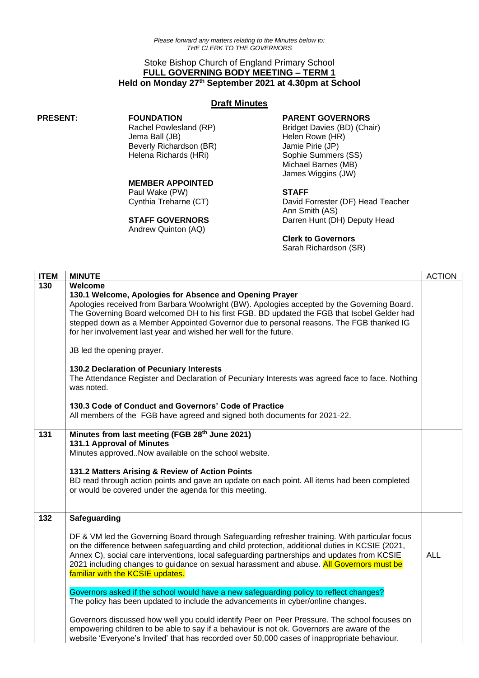# Stoke Bishop Church of England Primary School **FULL GOVERNING BODY MEETING – TERM 1 Held on Monday 27 th September 2021 at 4.30pm at School**

## **Draft Minutes**

#### **PRESENT: FOUNDATION**

Rachel Powlesland (RP) Jema Ball (JB) Beverly Richardson (BR) Helena Richards (HRi)

## **MEMBER APPOINTED**

Paul Wake (PW) Cynthia Treharne (CT)

#### **STAFF GOVERNORS**

Andrew Quinton (AQ)

## **PARENT GOVERNORS**

Bridget Davies (BD) (Chair) Helen Rowe (HR) Jamie Pirie (JP) Sophie Summers (SS) Michael Barnes (MB) James Wiggins (JW)

## **STAFF**

David Forrester (DF) Head Teacher Ann Smith (AS) Darren Hunt (DH) Deputy Head

#### **Clerk to Governors**

Sarah Richardson (SR)

| <b>ITEM</b> | <b>MINUTE</b>                                                                                                                                                                                                                                                                                                                                                                                                                                                                                                                                                                                                                                                                                                                                                                                                                                                                                                               | <b>ACTION</b> |
|-------------|-----------------------------------------------------------------------------------------------------------------------------------------------------------------------------------------------------------------------------------------------------------------------------------------------------------------------------------------------------------------------------------------------------------------------------------------------------------------------------------------------------------------------------------------------------------------------------------------------------------------------------------------------------------------------------------------------------------------------------------------------------------------------------------------------------------------------------------------------------------------------------------------------------------------------------|---------------|
| 130         | Welcome<br>130.1 Welcome, Apologies for Absence and Opening Prayer<br>Apologies received from Barbara Woolwright (BW). Apologies accepted by the Governing Board.<br>The Governing Board welcomed DH to his first FGB. BD updated the FGB that Isobel Gelder had<br>stepped down as a Member Appointed Governor due to personal reasons. The FGB thanked IG<br>for her involvement last year and wished her well for the future.<br>JB led the opening prayer.<br>130.2 Declaration of Pecuniary Interests<br>The Attendance Register and Declaration of Pecuniary Interests was agreed face to face. Nothing<br>was noted.                                                                                                                                                                                                                                                                                                 |               |
|             | 130.3 Code of Conduct and Governors' Code of Practice<br>All members of the FGB have agreed and signed both documents for 2021-22.                                                                                                                                                                                                                                                                                                                                                                                                                                                                                                                                                                                                                                                                                                                                                                                          |               |
| 131         | Minutes from last meeting (FGB 28th June 2021)<br>131.1 Approval of Minutes<br>Minutes approved. Now available on the school website.<br>131.2 Matters Arising & Review of Action Points<br>BD read through action points and gave an update on each point. All items had been completed<br>or would be covered under the agenda for this meeting.                                                                                                                                                                                                                                                                                                                                                                                                                                                                                                                                                                          |               |
| 132         | Safeguarding<br>DF & VM led the Governing Board through Safeguarding refresher training. With particular focus<br>on the difference between safeguarding and child protection, additional duties in KCSIE (2021,<br>Annex C), social care interventions, local safeguarding partnerships and updates from KCSIE<br>2021 including changes to guidance on sexual harassment and abuse. All Governors must be<br>familiar with the KCSIE updates.<br>Governors asked if the school would have a new safeguarding policy to reflect changes?<br>The policy has been updated to include the advancements in cyber/online changes.<br>Governors discussed how well you could identify Peer on Peer Pressure. The school focuses on<br>empowering children to be able to say if a behaviour is not ok. Governors are aware of the<br>website 'Everyone's Invited' that has recorded over 50,000 cases of inappropriate behaviour. | <b>ALL</b>    |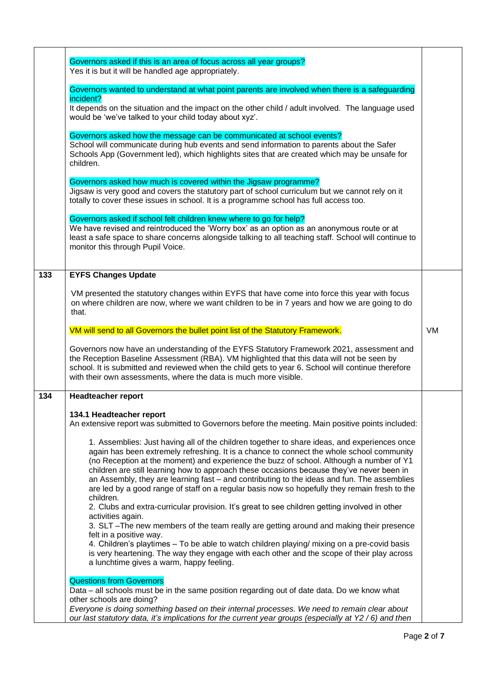|     | Governors asked if this is an area of focus across all year groups?<br>Yes it is but it will be handled age appropriately.                                                                                                                                                                                                                                                                                                                                                                                                                                                                     |           |
|-----|------------------------------------------------------------------------------------------------------------------------------------------------------------------------------------------------------------------------------------------------------------------------------------------------------------------------------------------------------------------------------------------------------------------------------------------------------------------------------------------------------------------------------------------------------------------------------------------------|-----------|
|     | Governors wanted to understand at what point parents are involved when there is a safeguarding                                                                                                                                                                                                                                                                                                                                                                                                                                                                                                 |           |
|     | incident?<br>It depends on the situation and the impact on the other child / adult involved. The language used<br>would be 'we've talked to your child today about xyz'.                                                                                                                                                                                                                                                                                                                                                                                                                       |           |
|     | Governors asked how the message can be communicated at school events?                                                                                                                                                                                                                                                                                                                                                                                                                                                                                                                          |           |
|     | School will communicate during hub events and send information to parents about the Safer<br>Schools App (Government led), which highlights sites that are created which may be unsafe for<br>children.                                                                                                                                                                                                                                                                                                                                                                                        |           |
|     | Governors asked how much is covered within the Jigsaw programme?<br>Jigsaw is very good and covers the statutory part of school curriculum but we cannot rely on it<br>totally to cover these issues in school. It is a programme school has full access too.                                                                                                                                                                                                                                                                                                                                  |           |
|     | Governors asked if school felt children knew where to go for help?<br>We have revised and reintroduced the 'Worry box' as an option as an anonymous route or at<br>least a safe space to share concerns alongside talking to all teaching staff. School will continue to<br>monitor this through Pupil Voice.                                                                                                                                                                                                                                                                                  |           |
| 133 | <b>EYFS Changes Update</b>                                                                                                                                                                                                                                                                                                                                                                                                                                                                                                                                                                     |           |
|     | VM presented the statutory changes within EYFS that have come into force this year with focus<br>on where children are now, where we want children to be in 7 years and how we are going to do<br>that.                                                                                                                                                                                                                                                                                                                                                                                        |           |
|     | VM will send to all Governors the bullet point list of the Statutory Framework.                                                                                                                                                                                                                                                                                                                                                                                                                                                                                                                | <b>VM</b> |
|     | Governors now have an understanding of the EYFS Statutory Framework 2021, assessment and<br>the Reception Baseline Assessment (RBA). VM highlighted that this data will not be seen by<br>school. It is submitted and reviewed when the child gets to year 6. School will continue therefore<br>with their own assessments, where the data is much more visible.                                                                                                                                                                                                                               |           |
| 134 | <b>Headteacher report</b>                                                                                                                                                                                                                                                                                                                                                                                                                                                                                                                                                                      |           |
|     | 134.1 Headteacher report<br>An extensive report was submitted to Governors before the meeting. Main positive points included:                                                                                                                                                                                                                                                                                                                                                                                                                                                                  |           |
|     | 1. Assemblies: Just having all of the children together to share ideas, and experiences once<br>again has been extremely refreshing. It is a chance to connect the whole school community<br>(no Reception at the moment) and experience the buzz of school. Although a number of Y1<br>children are still learning how to approach these occasions because they've never been in<br>an Assembly, they are learning fast - and contributing to the ideas and fun. The assemblies<br>are led by a good range of staff on a regular basis now so hopefully they remain fresh to the<br>children. |           |
|     | 2. Clubs and extra-curricular provision. It's great to see children getting involved in other<br>activities again.<br>3. SLT -The new members of the team really are getting around and making their presence                                                                                                                                                                                                                                                                                                                                                                                  |           |
|     | felt in a positive way.<br>4. Children's playtimes - To be able to watch children playing/ mixing on a pre-covid basis<br>is very heartening. The way they engage with each other and the scope of their play across<br>a lunchtime gives a warm, happy feeling.                                                                                                                                                                                                                                                                                                                               |           |
|     | <b>Questions from Governors</b><br>Data – all schools must be in the same position regarding out of date data. Do we know what<br>other schools are doing?<br>Everyone is doing something based on their internal processes. We need to remain clear about<br>our last statutory data, it's implications for the current year groups (especially at Y2 / 6) and then                                                                                                                                                                                                                           |           |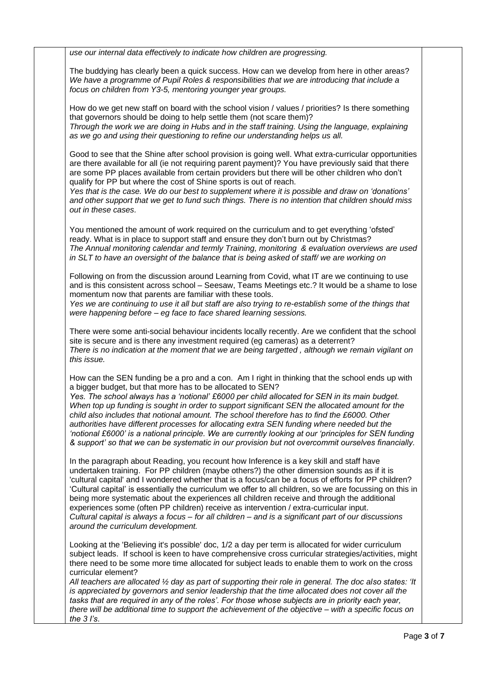*use our internal data effectively to indicate how children are progressing.*

The buddying has clearly been a quick success. How can we develop from here in other areas? *We have a programme of Pupil Roles & responsibilities that we are introducing that include a focus on children from Y3-5, mentoring younger year groups.*

How do we get new staff on board with the school vision / values / priorities? Is there something that governors should be doing to help settle them (not scare them)? *Through the work we are doing in Hubs and in the staff training. Using the language, explaining as we go and using their questioning to refine our understanding helps us all.*

Good to see that the Shine after school provision is going well. What extra-curricular opportunities are there available for all (ie not requiring parent payment)? You have previously said that there are some PP places available from certain providers but there will be other children who don't qualify for PP but where the cost of Shine sports is out of reach.

Yes that is the case. We do our best to supplement where it is possible and draw on 'donations' *and other support that we get to fund such things. There is no intention that children should miss out in these cases.*

You mentioned the amount of work required on the curriculum and to get everything 'ofsted' ready. What is in place to support staff and ensure they don't burn out by Christmas? *The Annual monitoring calendar and termly Training, monitoring & evaluation overviews are used in SLT to have an oversight of the balance that is being asked of staff/ we are working on*

Following on from the discussion around Learning from Covid, what IT are we continuing to use and is this consistent across school – Seesaw, Teams Meetings etc.? It would be a shame to lose momentum now that parents are familiar with these tools.

Yes we are continuing to use it all but staff are also trying to re-establish some of the things that *were happening before – eg face to face shared learning sessions.*

There were some anti-social behaviour incidents locally recently. Are we confident that the school site is secure and is there any investment required (eg cameras) as a deterrent? *There is no indication at the moment that we are being targetted , although we remain vigilant on this issue.*

How can the SEN funding be a pro and a con. Am I right in thinking that the school ends up with a bigger budget, but that more has to be allocated to SEN?

*Yes. The school always has a 'notional' £6000 per child allocated for SEN in its main budget. When top up funding is sought in order to support significant SEN the allocated amount for the child also includes that notional amount. The school therefore has to find the £6000. Other authorities have different processes for allocating extra SEN funding where needed but the 'notional £6000' is a national principle. We are currently looking at our 'principles for SEN funding & support' so that we can be systematic in our provision but not overcommit ourselves financially.*

In the paragraph about Reading, you recount how Inference is a key skill and staff have undertaken training. For PP children (maybe others?) the other dimension sounds as if it is 'cultural capital' and I wondered whether that is a focus/can be a focus of efforts for PP children? 'Cultural capital' is essentially the curriculum we offer to all children, so we are focussing on this in being more systematic about the experiences all children receive and through the additional experiences some (often PP children) receive as intervention / extra-curricular input. *Cultural capital is always a focus – for all children – and is a significant part of our discussions around the curriculum development.*

Looking at the 'Believing it's possible' doc, 1/2 a day per term is allocated for wider curriculum subject leads. If school is keen to have comprehensive cross curricular strategies/activities, might there need to be some more time allocated for subject leads to enable them to work on the cross curricular element?

*All teachers are allocated ½ day as part of supporting their role in general. The doc also states: 'It is appreciated by governors and senior leadership that the time allocated does not cover all the tasks that are required in any of the roles'. For those whose subjects are in priority each year, there will be additional time to support the achievement of the objective – with a specific focus on the 3 I's*.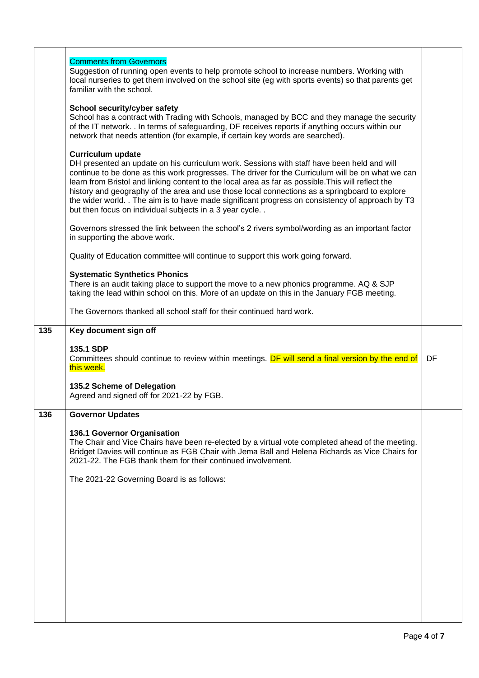|     | <b>Comments from Governors</b><br>Suggestion of running open events to help promote school to increase numbers. Working with<br>local nurseries to get them involved on the school site (eq with sports events) so that parents get<br>familiar with the school.                                                                                                                                                                                                                                                                                                                                  |    |
|-----|---------------------------------------------------------------------------------------------------------------------------------------------------------------------------------------------------------------------------------------------------------------------------------------------------------------------------------------------------------------------------------------------------------------------------------------------------------------------------------------------------------------------------------------------------------------------------------------------------|----|
|     | School security/cyber safety<br>School has a contract with Trading with Schools, managed by BCC and they manage the security<br>of the IT network. . In terms of safeguarding, DF receives reports if anything occurs within our<br>network that needs attention (for example, if certain key words are searched).                                                                                                                                                                                                                                                                                |    |
|     | <b>Curriculum update</b><br>DH presented an update on his curriculum work. Sessions with staff have been held and will<br>continue to be done as this work progresses. The driver for the Curriculum will be on what we can<br>learn from Bristol and linking content to the local area as far as possible. This will reflect the<br>history and geography of the area and use those local connections as a springboard to explore<br>the wider world. . The aim is to have made significant progress on consistency of approach by T3<br>but then focus on individual subjects in a 3 year cycle |    |
|     | Governors stressed the link between the school's 2 rivers symbol/wording as an important factor<br>in supporting the above work.                                                                                                                                                                                                                                                                                                                                                                                                                                                                  |    |
|     | Quality of Education committee will continue to support this work going forward.                                                                                                                                                                                                                                                                                                                                                                                                                                                                                                                  |    |
|     | <b>Systematic Synthetics Phonics</b><br>There is an audit taking place to support the move to a new phonics programme. AQ & SJP<br>taking the lead within school on this. More of an update on this in the January FGB meeting.                                                                                                                                                                                                                                                                                                                                                                   |    |
|     | The Governors thanked all school staff for their continued hard work.                                                                                                                                                                                                                                                                                                                                                                                                                                                                                                                             |    |
| 135 | Key document sign off                                                                                                                                                                                                                                                                                                                                                                                                                                                                                                                                                                             |    |
|     | 135.1 SDP                                                                                                                                                                                                                                                                                                                                                                                                                                                                                                                                                                                         |    |
|     | Committees should continue to review within meetings. DF will send a final version by the end of<br>this week.                                                                                                                                                                                                                                                                                                                                                                                                                                                                                    | DF |
|     | 135.2 Scheme of Delegation<br>Agreed and signed off for 2021-22 by FGB.                                                                                                                                                                                                                                                                                                                                                                                                                                                                                                                           |    |
| 136 | <b>Governor Updates</b>                                                                                                                                                                                                                                                                                                                                                                                                                                                                                                                                                                           |    |
|     | 136.1 Governor Organisation<br>The Chair and Vice Chairs have been re-elected by a virtual vote completed ahead of the meeting.<br>Bridget Davies will continue as FGB Chair with Jema Ball and Helena Richards as Vice Chairs for<br>2021-22. The FGB thank them for their continued involvement.                                                                                                                                                                                                                                                                                                |    |
|     | The 2021-22 Governing Board is as follows:                                                                                                                                                                                                                                                                                                                                                                                                                                                                                                                                                        |    |
|     |                                                                                                                                                                                                                                                                                                                                                                                                                                                                                                                                                                                                   |    |
|     |                                                                                                                                                                                                                                                                                                                                                                                                                                                                                                                                                                                                   |    |
|     |                                                                                                                                                                                                                                                                                                                                                                                                                                                                                                                                                                                                   |    |
|     |                                                                                                                                                                                                                                                                                                                                                                                                                                                                                                                                                                                                   |    |
|     |                                                                                                                                                                                                                                                                                                                                                                                                                                                                                                                                                                                                   |    |
|     |                                                                                                                                                                                                                                                                                                                                                                                                                                                                                                                                                                                                   |    |

 $\overline{\phantom{a}}$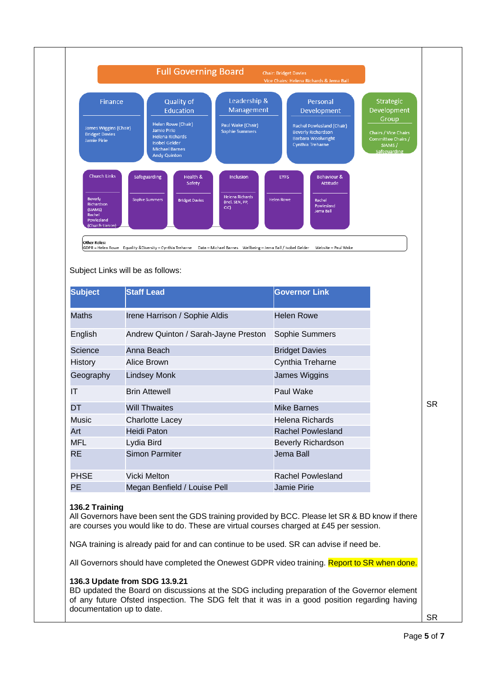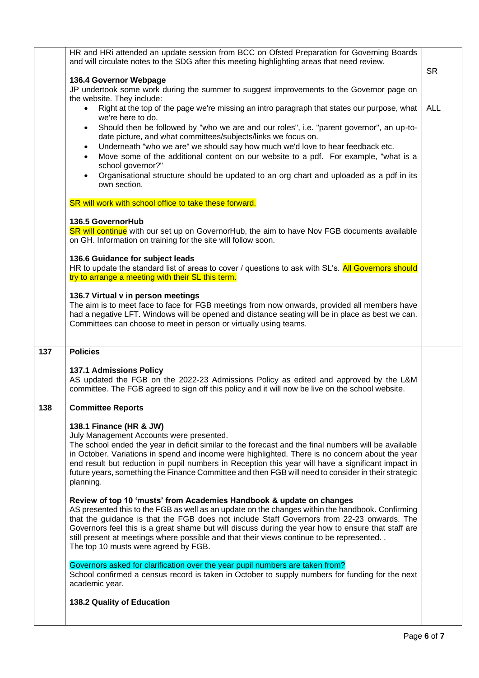|     | HR and HRi attended an update session from BCC on Ofsted Preparation for Governing Boards<br>and will circulate notes to the SDG after this meeting highlighting areas that need review.                                                                                                                                                                                                                                                                                                                            | <b>SR</b>  |
|-----|---------------------------------------------------------------------------------------------------------------------------------------------------------------------------------------------------------------------------------------------------------------------------------------------------------------------------------------------------------------------------------------------------------------------------------------------------------------------------------------------------------------------|------------|
|     | 136.4 Governor Webpage<br>JP undertook some work during the summer to suggest improvements to the Governor page on                                                                                                                                                                                                                                                                                                                                                                                                  |            |
|     | the website. They include:<br>Right at the top of the page we're missing an intro paragraph that states our purpose, what                                                                                                                                                                                                                                                                                                                                                                                           | <b>ALL</b> |
|     | we're here to do.<br>Should then be followed by "who we are and our roles", i.e. "parent governor", an up-to-<br>date picture, and what committees/subjects/links we focus on.                                                                                                                                                                                                                                                                                                                                      |            |
|     | Underneath "who we are" we should say how much we'd love to hear feedback etc.<br>$\bullet$<br>Move some of the additional content on our website to a pdf. For example, "what is a<br>school governor?"                                                                                                                                                                                                                                                                                                            |            |
|     | Organisational structure should be updated to an org chart and uploaded as a pdf in its<br>own section.                                                                                                                                                                                                                                                                                                                                                                                                             |            |
|     | SR will work with school office to take these forward.                                                                                                                                                                                                                                                                                                                                                                                                                                                              |            |
|     | 136.5 GovernorHub<br>SR will continue with our set up on GovernorHub, the aim to have Nov FGB documents available<br>on GH. Information on training for the site will follow soon.                                                                                                                                                                                                                                                                                                                                  |            |
|     | 136.6 Guidance for subject leads<br>HR to update the standard list of areas to cover / questions to ask with SL's. All Governors should<br>try to arrange a meeting with their SL this term.                                                                                                                                                                                                                                                                                                                        |            |
|     | 136.7 Virtual v in person meetings<br>The aim is to meet face to face for FGB meetings from now onwards, provided all members have<br>had a negative LFT. Windows will be opened and distance seating will be in place as best we can.<br>Committees can choose to meet in person or virtually using teams.                                                                                                                                                                                                         |            |
| 137 | <b>Policies</b>                                                                                                                                                                                                                                                                                                                                                                                                                                                                                                     |            |
|     |                                                                                                                                                                                                                                                                                                                                                                                                                                                                                                                     |            |
|     | 137.1 Admissions Policy<br>AS updated the FGB on the 2022-23 Admissions Policy as edited and approved by the L&M<br>committee. The FGB agreed to sign off this policy and it will now be live on the school website.                                                                                                                                                                                                                                                                                                |            |
| 138 | <b>Committee Reports</b>                                                                                                                                                                                                                                                                                                                                                                                                                                                                                            |            |
|     | 138.1 Finance (HR & JW)<br>July Management Accounts were presented.<br>The school ended the year in deficit similar to the forecast and the final numbers will be available<br>in October. Variations in spend and income were highlighted. There is no concern about the year<br>end result but reduction in pupil numbers in Reception this year will have a significant impact in<br>future years, something the Finance Committee and then FGB will need to consider in their strategic<br>planning.            |            |
|     | Review of top 10 'musts' from Academies Handbook & update on changes<br>AS presented this to the FGB as well as an update on the changes within the handbook. Confirming<br>that the guidance is that the FGB does not include Staff Governors from 22-23 onwards. The<br>Governors feel this is a great shame but will discuss during the year how to ensure that staff are<br>still present at meetings where possible and that their views continue to be represented. .<br>The top 10 musts were agreed by FGB. |            |
|     | Governors asked for clarification over the year pupil numbers are taken from?<br>School confirmed a census record is taken in October to supply numbers for funding for the next<br>academic year.                                                                                                                                                                                                                                                                                                                  |            |